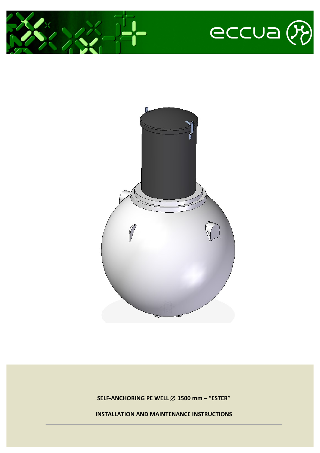





**SELF-ANCHORING PE WELL** ∅ **1500 mm – "ESTER"**

**INSTALLATION AND MAINTENANCE INSTRUCTIONS**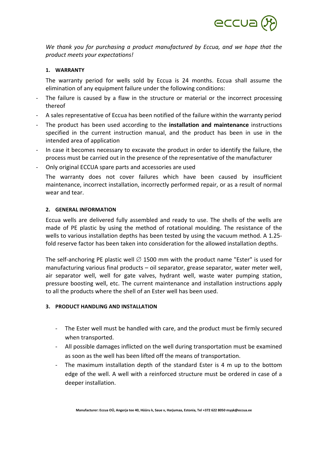

*We* thank you for purchasing a product manufactured by Eccua, and we hope that the *product meets your expectations!*

### **1. WARRANTY**

The warranty period for wells sold by Eccua is 24 months. Eccua shall assume the elimination of any equipment failure under the following conditions:

- The failure is caused by a flaw in the structure or material or the incorrect processing thereof
- A sales representative of Eccua has been notified of the failure within the warranty period
- The product has been used according to the **installation and maintenance** instructions specified in the current instruction manual, and the product has been in use in the intended area of application
- In case it becomes necessary to excavate the product in order to identify the failure, the process must be carried out in the presence of the representative of the manufacturer
- Only original ECCUA spare parts and accessories are used

The warranty does not cover failures which have been caused by insufficient maintenance, incorrect installation, incorrectly performed repair, or as a result of normal wear and tear. 

#### **2. GENERAL INFORMATION**

Eccua wells are delivered fully assembled and ready to use. The shells of the wells are made of PE plastic by using the method of rotational moulding. The resistance of the wells to various installation depths has been tested by using the vacuum method. A 1.25fold reserve factor has been taken into consideration for the allowed installation depths.

The self-anchoring PE plastic well  $\varnothing$  1500 mm with the product name "Ester" is used for manufacturing various final products  $-$  oil separator, grease separator, water meter well, air separator well, well for gate valves, hydrant well, waste water pumping station, pressure boosting well, etc. The current maintenance and installation instructions apply to all the products where the shell of an Ester well has been used.

#### **3. PRODUCT HANDLING AND INSTALLATION**

- The Ester well must be handled with care, and the product must be firmly secured when transported.
- All possible damages inflicted on the well during transportation must be examined as soon as the well has been lifted off the means of transportation.
- The maximum installation depth of the standard Ester is 4  $m$  up to the bottom edge of the well. A well with a reinforced structure must be ordered in case of a deeper installation.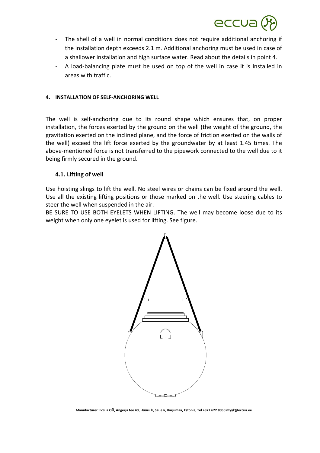

- The shell of a well in normal conditions does not require additional anchoring if the installation depth exceeds 2.1 m. Additional anchoring must be used in case of a shallower installation and high surface water. Read about the details in point 4.
- A load-balancing plate must be used on top of the well in case it is installed in areas with traffic.

### **4. INSTALLATION OF SELF-ANCHORING WELL**

The well is self-anchoring due to its round shape which ensures that, on proper installation, the forces exerted by the ground on the well (the weight of the ground, the gravitation exerted on the inclined plane, and the force of friction exerted on the walls of the well) exceed the lift force exerted by the groundwater by at least 1.45 times. The above-mentioned force is not transferred to the pipework connected to the well due to it being firmly secured in the ground.

## **4.1. Lifting of well**

Use hoisting slings to lift the well. No steel wires or chains can be fixed around the well. Use all the existing lifting positions or those marked on the well. Use steering cables to steer the well when suspended in the air.

BE SURE TO USE BOTH EYELETS WHEN LIFTING. The well may become loose due to its weight when only one eyelet is used for lifting. See figure.

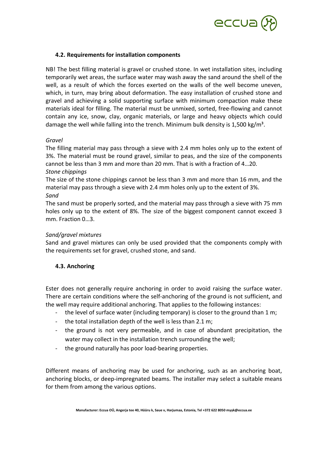

# **4.2. Requirements for installation components**

NB! The best filling material is gravel or crushed stone. In wet installation sites, including temporarily wet areas, the surface water may wash away the sand around the shell of the well, as a result of which the forces exerted on the walls of the well become uneven, which, in turn, may bring about deformation. The easy installation of crushed stone and gravel and achieving a solid supporting surface with minimum compaction make these materials ideal for filling. The material must be unmixed, sorted, free-flowing and cannot contain any ice, snow, clay, organic materials, or large and heavy objects which could damage the well while falling into the trench. Minimum bulk density is 1,500 kg/m<sup>3</sup>.

## *Gravel*

The filling material may pass through a sieve with 2.4 mm holes only up to the extent of 3%. The material must be round gravel, similar to peas, and the size of the components cannot be less than 3 mm and more than 20 mm. That is with a fraction of 4...20.

### *Stone chippings*

The size of the stone chippings cannot be less than 3 mm and more than 16 mm, and the material may pass through a sieve with 2.4 mm holes only up to the extent of 3%. *Sand*

The sand must be properly sorted, and the material may pass through a sieve with 75 mm holes only up to the extent of 8%. The size of the biggest component cannot exceed 3 mm. Fraction  $0...3$ .

## *Sand/gravel mixtures*

Sand and gravel mixtures can only be used provided that the components comply with the requirements set for gravel, crushed stone, and sand.

# **4.3. Anchoring**

Ester does not generally require anchoring in order to avoid raising the surface water. There are certain conditions where the self-anchoring of the ground is not sufficient, and the well may require additional anchoring. That applies to the following instances:

- the level of surface water (including temporary) is closer to the ground than 1 m;
- the total installation depth of the well is less than 2.1 m;
- the ground is not very permeable, and in case of abundant precipitation, the water may collect in the installation trench surrounding the well;
- the ground naturally has poor load-bearing properties.

Different means of anchoring may be used for anchoring, such as an anchoring boat, anchoring blocks, or deep-impregnated beams. The installer may select a suitable means for them from among the various options.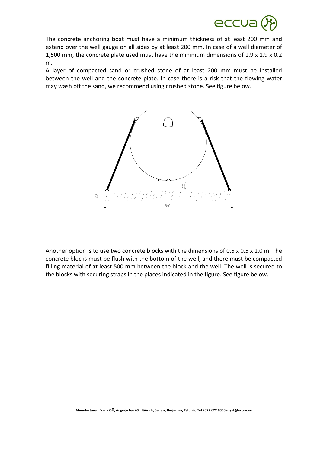

The concrete anchoring boat must have a minimum thickness of at least 200 mm and extend over the well gauge on all sides by at least 200 mm. In case of a well diameter of 1,500 mm, the concrete plate used must have the minimum dimensions of 1.9 x 1.9 x 0.2 m.

A layer of compacted sand or crushed stone of at least 200 mm must be installed between the well and the concrete plate. In case there is a risk that the flowing water may wash off the sand, we recommend using crushed stone. See figure below.



Another option is to use two concrete blocks with the dimensions of  $0.5 \times 0.5 \times 1.0$  m. The concrete blocks must be flush with the bottom of the well, and there must be compacted filling material of at least 500 mm between the block and the well. The well is secured to Another option is to use two concrete blocks with the dimensions of 0.5 x 0.5 x 1.0 m<br>concrete blocks must be flush with the bottom of the well, and there must be compare<br>filling material of at least 500 mm between the bl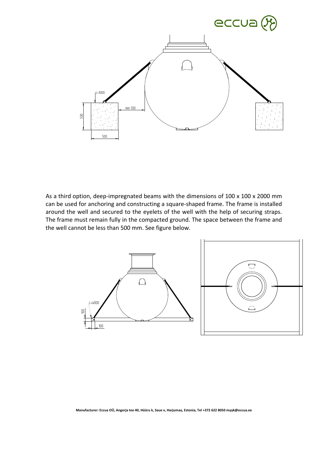

As a third option, deep-impregnated beams with the dimensions of 100 x 100 x 2000 mm can be used for anchoring and constructing a square-shaped frame. The frame is installed around the well and secured to the eyelets of the well with the help of securing straps. The frame must remain fully in the compacted ground. The space between the frame and As a third option, deep-impregnated beams with the divant be used for anchoring and constructing a square-sharound the well and secured to the eyelets of the well cannot be less than 500 mm. See figure below.

![](_page_5_Figure_2.jpeg)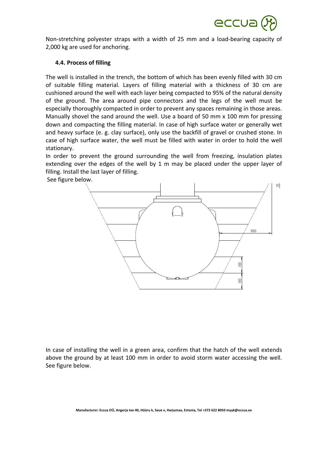![](_page_6_Picture_0.jpeg)

Non-stretching polyester straps with a width of 25 mm and a load-bearing capacity of 2,000 kg are used for anchoring.

## **4.4. Process of filling**

The well is installed in the trench, the bottom of which has been evenly filled with 30 cm of suitable filling material. Layers of filling material with a thickness of 30 cm are cushioned around the well with each layer being compacted to 95% of the natural density of the ground. The area around pipe connectors and the legs of the well must be especially thoroughly compacted in order to prevent any spaces remaining in those areas. Manually shovel the sand around the well. Use a board of 50 mm x 100 mm for pressing down and compacting the filling material. In case of high surface water or generally wet and heavy surface (e. g. clay surface), only use the backfill of gravel or crushed stone. In case of high surface water, the well must be filled with water in order to hold the well stationary. 

In order to prevent the ground surrounding the well from freezing, insulation plates extending over the edges of the well by 1 m may be placed under the upper layer of filling. Install the last layer of filling.

![](_page_6_Figure_5.jpeg)

In case of installing the well in a green area, confirm that the hatch of the well extends above the ground by at least 100 mm in order to avoid storm water accessing the well. See figure below.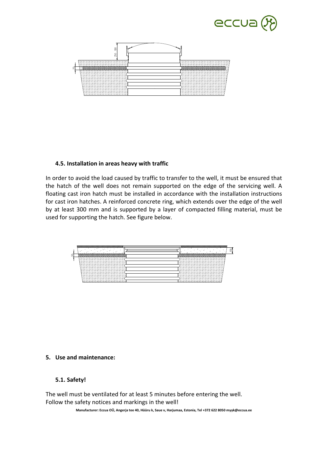![](_page_7_Picture_0.jpeg)

![](_page_7_Figure_1.jpeg)

# **4.5.** Installation in areas heavy with traffic

In order to avoid the load caused by traffic to transfer to the well, it must be ensured that the hatch of the well does not remain supported on the edge of the servicing well. A floating cast iron hatch must be installed in accordance with the installation instructions for cast iron hatches. A reinforced concrete ring, which extends over the edge of the well by at least 300 mm and is supported by a layer of compacted filling material, must be used for supporting the hatch. See figure below. Follow the safetyle and markings in the well discussion of the safetyle and the batch of the well does not remain supported floating cast iron hatches. A reinforced concrete ring, we all east 300 mm and is supported by a l

![](_page_7_Figure_4.jpeg)

## **5. Use and maintenance:**

# **5.1. Safety!**

The well must be ventilated for at least 5 minutes before entering the well.

**Manufacturer: Eccua OÜ, Angerja tee 40, Hüüru k, Saue v, Harjumaa, Estonia, Tel +372 622 8050 myyk@eccua.ee**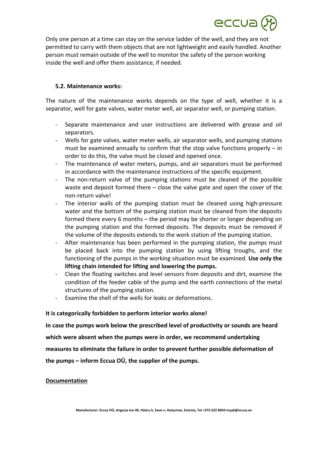![](_page_8_Picture_0.jpeg)

Only one person at a time can stay on the service ladder of the well, and they are not permitted to carry with them objects that are not lightweight and easily handled. Another person must remain outside of the well to monitor the safety of the person working inside the well and offer them assistance, if needed.

# **5.2. Maintenance works:**

The nature of the maintenance works depends on the type of well, whether it is a separator, well for gate valves, water meter well, air separator well, or pumping station.

- Separate maintenance and user instructions are delivered with grease and oil separators.
- Wells for gate valves, water meter wells, air separator wells, and pumping stations must be examined annually to confirm that the stop valve functions properly  $-$  in order to do this, the valve must be closed and opened once.
- The maintenance of water meters, pumps, and air separators must be performed in accordance with the maintenance instructions of the specific equipment.
- The non-return valve of the pumping stations must be cleaned of the possible waste and deposit formed there  $-$  close the valve gate and open the cover of the non-return valve!
- The interior walls of the pumping station must be cleaned using high-pressure water and the bottom of the pumping station must be cleaned from the deposits formed there every 6 months  $-$  the period may be shorter or longer depending on the pumping station and the formed deposits. The deposits must be removed if the volume of the deposits extends to the work station of the pumping station.
- After maintenance has been performed in the pumping station, the pumps must be placed back into the pumping station by using lifting troughs, and the functioning of the pumps in the working situation must be examined. Use only the lifting chain intended for lifting and lowering the pumps.
- Clean the floating switches and level sensors from deposits and dirt, examine the condition of the feeder cable of the pump and the earth connections of the metal structures of the pumping station.
- Examine the shell of the wells for leaks or deformations.

## It is categorically forbidden to perform interior works alone!

In case the pumps work below the prescribed level of productivity or sounds are heard

which were absent when the pumps were in order, we recommend undertaking

measures to eliminate the failure in order to prevent further possible deformation of

**the pumps – inform Eccua OÜ, the supplier of the pumps.** 

## **Documentation**